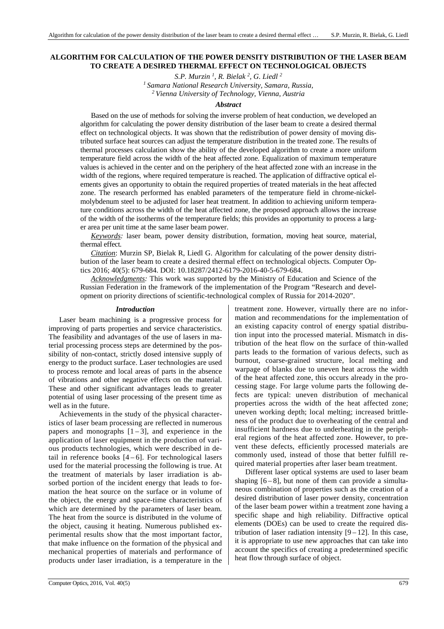# **ALGORITHM FOR CALCULATION OF THE POWER DENSITY DISTRIBUTION OF THE LASER BEAM TO CREATE A DESIRED THERMAL EFFECT ON TECHNOLOGICAL OBJECTS**

*S.P. Murzin <sup>1</sup> , R. Bielak <sup>2</sup> , G. Liedl <sup>2</sup> <sup>1</sup>Samara National Research University, Samara, Russia, <sup>2</sup>Vienna University of Technology, Vienna, Austria* 

### *Abstract*

Based on the use of methods for solving the inverse problem of heat conduction, we developed an algorithm for calculating the power density distribution of the laser beam to create a desired thermal effect on technological objects. It was shown that the redistribution of power density of moving distributed surface heat sources can adjust the temperature distribution in the treated zone. The results of thermal processes calculation show the ability of the developed algorithm to create a more uniform temperature field across the width of the heat affected zone. Equalization of maximum temperature values is achieved in the center and on the periphery of the heat affected zone with an increase in the width of the regions, where required temperature is reached. The application of diffractive optical elements gives an opportunity to obtain the required properties of treated materials in the heat affected zone. The research performed has enabled parameters of the temperature field in chrome-nickelmolybdenum steel to be adjusted for laser heat treatment. In addition to achieving uniform temperature conditions across the width of the heat affected zone, the proposed approach allows the increase of the width of the isotherms of the temperature fields; this provides an opportunity to process a larger area per unit time at the same laser beam power.

*Keywords:* laser beam, power density distribution, formation, moving heat source, material, thermal effect.

*Citation*: Murzin SP, Bielak R, Liedl G. Algorithm for calculating of the power density distribution of the laser beam to create a desired thermal effect on technological objects. Computer Optics 2016; 40(5): 679-684. DOI: 10.18287/2412-6179-2016-40-5-679-684.

*Acknowledgments:* This work was supported by the Ministry of Education and Science of the Russian Federation in the framework of the implementation of the Program "Research and development on priority directions of scientific-technological complex of Russia for 2014-2020".

#### *Introduction*

Laser beam machining is a progressive process for improving of parts properties and service characteristics. The feasibility and advantages of the use of lasers in material processing process steps are determined by the possibility of non-contact, strictly dosed intensive supply of energy to the product surface. Laser technologies are used to process remote and local areas of parts in the absence of vibrations and other negative effects on the material. These and other significant advantages leads to greater potential of using laser processing of the present time as well as in the future.

Achievements in the study of the physical characteristics of laser beam processing are reflected in numerous papers and monographs  $[1-3]$ , and experience in the application of laser equipment in the production of various products technologies, which were described in detail in reference books  $[4-6]$ . For technological lasers used for the material processing the following is true. At the treatment of materials by laser irradiation is absorbed portion of the incident energy that leads to formation the heat source on the surface or in volume of the object, the energy and space-time characteristics of which are determined by the parameters of laser beam. The heat from the source is distributed in the volume of the object, causing it heating. Numerous published experimental results show that the most important factor, that make influence on the formation of the physical and mechanical properties of materials and performance of products under laser irradiation, is a temperature in the treatment zone. However, virtually there are no information and recommendations for the implementation of an existing capacity control of energy spatial distribution input into the processed material. Mismatch in distribution of the heat flow on the surface of thin-walled parts leads to the formation of various defects, such as burnout, coarse-grained structure, local melting and warpage of blanks due to uneven heat across the width of the heat affected zone, this occurs already in the processing stage. For large volume parts the following defects are typical: uneven distribution of mechanical properties across the width of the heat affected zone; uneven working depth; local melting; increased brittleness of the product due to overheating of the central and insufficient hardness due to underheating in the peripheral regions of the heat affected zone. However, to prevent these defects, efficiently processed materials are commonly used, instead of those that better fulfill required material properties after laser beam treatment.

Different laser optical systems are used to laser beam shaping  $[6-8]$ , but none of them can provide a simultaneous combination of properties such as the creation of a desired distribution of laser power density, concentration of the laser beam power within a treatment zone having a specific shape and high reliability. Diffractive optical elements (DOEs) can be used to create the required distribution of laser radiation intensity  $[9 - 12]$ . In this case, it is appropriate to use new approaches that can take into account the specifics of creating a predetermined specific heat flow through surface of object.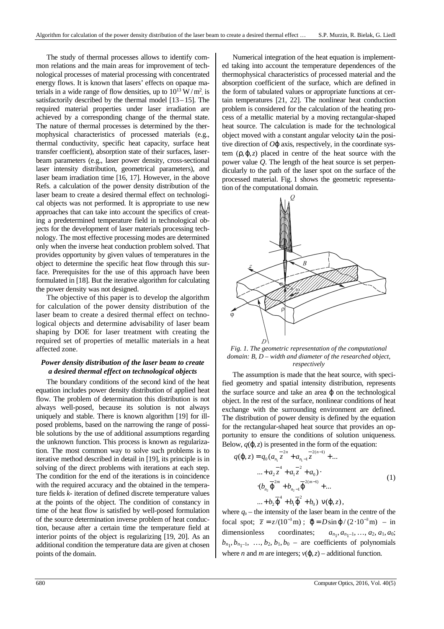The study of thermal processes allows to identify common relations and the main areas for improvement of technological processes of material processing with concentrated energy flows. It is known that lasers' effects on opaque materials in a wide range of flow densities, up to  $10^{13}$  W/m<sup>2</sup>, is satisfactorily described by the thermal model  $[13-15]$ . The required material properties under laser irradiation are achieved by a corresponding change of the thermal state. The nature of thermal processes is determined by the thermophysical characteristics of processed materials (e.g., thermal conductivity, specific heat capacity, surface heat transfer coefficient), absorption state of their surfaces, laserbeam parameters (e.g., laser power density, cross-sectional laser intensity distribution, geometrical parameters), and laser beam irradiation time [16, 17]. However, in the above Refs. a calculation of the power density distribution of the laser beam to create a desired thermal effect on technological objects was not performed. It is appropriate to use new approaches that can take into account the specifics of creating a predetermined temperature field in technological objects for the development of laser materials processing technology. The most effective processing modes are determined only when the inverse heat conduction problem solved. That provides opportunity by given values of temperatures in the object to determine the specific heat flow through this surface. Prerequisites for the use of this approach have been formulated in [18]. But the iterative algorithm for calculating the power density was not designed.

The objective of this paper is to develop the algorithm for calculation of the power density distribution of the laser beam to create a desired thermal effect on technological objects and determine advisability of laser beam shaping by DOE for laser treatment with creating the required set of properties of metallic materials in a heat affected zone.

# *Power density distribution of the laser beam to create a desired thermal effect on technological objects*

The boundary conditions of the second kind of the heat equation includes power density distribution of applied heat flow. The problem of determination this distribution is not always well-posed, because its solution is not always uniquely and stable. There is known algorithm [19] for illposed problems, based on the narrowing the range of possible solutions by the use of additional assumptions regarding the unknown function. This process is known as regularization. The most common way to solve such problems is to iterative method described in detail in [19], its principle is in solving of the direct problems with iterations at each step. The condition for the end of the iterations is in coincidence with the required accuracy and the obtained in the temperature fields *k*- iteration of defined discrete temperature values at the points of the object. The condition of constancy in time of the heat flow is satisfied by well-posed formulation of the source determination inverse problem of heat conduction, because after a certain time the temperature field at interior points of the object is regularizing [19, 20]. As an additional condition the temperature data are given at chosen points of the domain.

Numerical integration of the heat equation is implemented taking into account the temperature dependences of the thermophysical characteristics of processed material and the absorption coefficient of the surface, which are defined in the form of tabulated values or appropriate functions at certain temperatures [21, 22]. The nonlinear heat conduction problem is considered for the calculation of the heating process of a metallic material by a moving rectangular-shaped heat source. The calculation is made for the technological object moved with a constant angular velocity ω in the positive direction of *O*ϕ axis, respectively, in the coordinate system (ρ,ϕ,*z*) placed in centre of the heat source with the power value *Q*. The length of the heat source is set perpendicularly to the path of the laser spot on the surface of the processed material. Fig. 1 shows the geometric representation of the computational domain.



*Fig. 1. The geometric representation of the computational domain: B, D – width and diameter of the researched object, respectively* 

The assumption is made that the heat source, with specified geometry and spatial intensity distribution, represents the surface source and take an area **φ** on the technological object. In the rest of the surface, nonlinear conditions of heat exchange with the surrounding environment are defined. The distribution of power density is defined by the equation for the rectangular-shaped heat source that provides an opportunity to ensure the conditions of solution uniqueness. Below,  $q(\varphi, z)$  is presented in the form of the equation:

$$
q(\varphi, z) = q_0 (a_{n_1} z^{-2n} + a_{n_1 - 1} z^{-2(n-1)} + ... \n... + a_2 z^{-1} + a_1 z^{-2} + a_0) \cdot \n\cdot (b_{n_2} \overline{\varphi}^{2m} + b_{n_2 - 1} \overline{\varphi}^{2(m-1)} + ... \n... + b_2 \overline{\varphi}^{2m} + b_1 \overline{\varphi}^{2m} + b_0) \ \mathbf{v}(\varphi, z),
$$
\n(1)

where  $q_0$  – the intensity of the laser beam in the centre of the focal spot;  $\bar{z} = z/(10^{-3} \text{ m})$ ;  $\bar{\phi} = D \sin \phi / (2 \cdot 10^{-3} \text{ m}) - \text{in}$ dimensionless coordinates;  $a_{n_1-1}, \ldots, a_2, a_1, a_0;$  $b_{n_1}, b_{n_1-1}, \ldots, b_2, b_1, b_0$  – are coefficients of polynomials where *n* and *m* are integers;  $v(\phi, z)$  – additional function.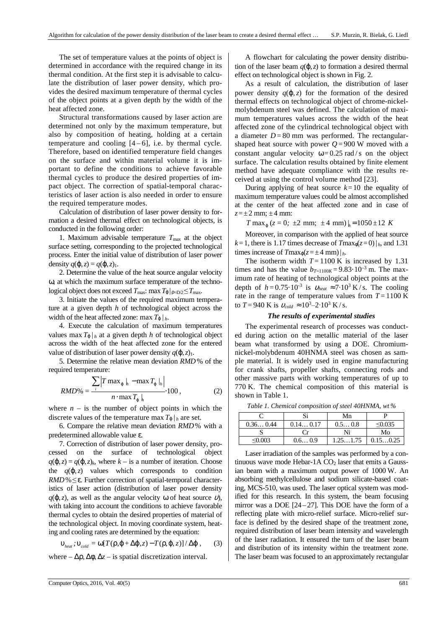The set of temperature values at the points of object is determined in accordance with the required change in its thermal condition. At the first step it is advisable to calculate the distribution of laser power density, which provides the desired maximum temperature of thermal cycles of the object points at a given depth by the width of the heat affected zone.

Structural transformations caused by laser action are determined not only by the maximum temperature, but also by composition of heating, holding at a certain temperature and cooling  $[4-6]$ , i.e. by thermal cycle. Therefore, based on identified temperature field changes on the surface and within material volume it is important to define the conditions to achieve favorable thermal cycles to produce the desired properties of impact object. The correction of spatial-temporal characteristics of laser action is also needed in order to ensure the required temperature modes.

Calculation of distribution of laser power density to formation a desired thermal effect on technological objects, is conducted in the following order:

1. Maximum advisable temperature  $T_{\text{max}}$  at the object surface setting, corresponding to the projected technological process. Enter the initial value of distribution of laser power density  $q(\varphi, z) = q(\varphi, z)$ <sub>1</sub>.

2. Determine the value of the heat source angular velocity ω, at which the maximum surface temperature of the technological object does not exceed  $T_{\text{max}}$ : max $T_{\phi}|_{\phi = D/2} \leq T_{\text{max}}$ .

3. Initiate the values of the required maximum temperature at a given depth *h* of technological object across the width of the heat affected zone: max  $T_{\varphi}|_h$ .

4. Execute the calculation of maximum temperatures values max  $T_{\phi}|_h$  at a given depth *h* of technological object across the width of the heat affected zone for the entered value of distribution of laser power density  $q(\mathbf{0}, z)$ .

5. Determine the relative mean deviation *RMD*% of the required temperature:

$$
RMD\% = \frac{\sum_{i} \left| T \max_{\varphi} \int_{h} - \max T_{\varphi} \int_{h} \right|}{n \cdot \max T_{\varphi} \int_{h}} \cdot 100 , \qquad (2)
$$

where  $n -$  is the number of object points in which the discrete values of the temperature max  $T_{\phi}|_h$  are set.

6. Compare the relative mean deviation *RMD*% with a predetermined allowable value ε.

7. Correction of distribution of laser power density, processed on the surface of technological object  $q(\varphi, z) = q(\varphi, z)$ <sub>k</sub>, where  $k -$  is a number of iteration. Choose the  $q(\varphi, z)$  values which corresponds to condition *RMD* % ≤ ε. Further correction of spatial-temporal characteristics of laser action (distribution of laser power density  $q(\varphi, z)$ , as well as the angular velocity ω of heat source  $\psi$ ), with taking into account the conditions to achieve favorable thermal cycles to obtain the desired properties of material of the technological object. In moving coordinate system, heating and cooling rates are determined by the equation:

$$
\mathbf{U}_{\text{heat}}; \mathbf{U}_{\text{cold}} = \omega [T(\rho, \varphi + \Delta \varphi, z) - T(\rho, \varphi, z)] / \Delta \varphi , \qquad (3)
$$

where –  $\Delta \rho$ ,  $\Delta \phi$ ,  $\Delta z$  – is spatial discretization interval.

A flowchart for calculating the power density distribution of the laser beam  $q(\varphi, z)$  to formation a desired thermal effect on technological object is shown in Fig. 2.

As a result of calculation, the distribution of laser power density  $q(\varphi, z)$  for the formation of the desired thermal effects on technological object of chrome-nickelmolybdenum steel was defined. The calculation of maximum temperatures values across the width of the heat affected zone of the cylindrical technological object with a diameter  $D = 80$  mm was performed. The rectangularshaped heat source with power  $Q = 900$  W moved with a constant angular velocity  $\omega = 0.25$  rad/s on the object surface. The calculation results obtained by finite element method have adequate compliance with the results received at using the control volume method [23].

During applying of heat source  $k=10$  the equality of maximum temperature values could be almost accomplished at the center of the heat affected zone and in case of  $z=\pm 2$  mm;  $\pm 4$  mm:

 $T \max_{\phi} (z = 0; \pm 2 \text{ mm}; \pm 4 \text{ mm}) / \frac{1}{h} = 1050 \pm 12 \text{ K}$ 

Moreover, in comparison with the applied of heat source  $k=1$ , there is 1.17 times decrease of  $T$ max<sub> $\phi$ </sub> $(z=0)$  | $_h$ , and 1.31 times increase of  $T_{\text{max}_{\phi}(z=\pm 4 \text{ mm})}|_h$ .

The isotherm width  $T = 1100$  K is increased by 1.31 times and has the value  $b_{T=1100K} = 9.83 \cdot 10^{-3}$  m. The maximum rate of heating of technological object points at the depth of  $h = 0.75 \cdot 10^{-3}$  is  $v_{heat} \approx 7 \cdot 10^{3}$  K/s. The cooling rate in the range of temperature values from  $T = 1100$  K to  $T = 940$  K is  $v_{cold} \approx 10^3 - 2.10^3$  K/s.

#### *The results of experimental studies*

The experimental research of processes was conducted during action on the metallic material of the laser beam what transformed by using a DOE. Chromiumnickel-molybdenum 40HNMA steel was chosen as sample material. It is widely used in engine manufacturing for crank shafts, propeller shafts, connecting rods and other massive parts with working temperatures of up to 770 K. The chemical composition of this material is shown in Table 1.

|          |          | Mn       |              |
|----------|----------|----------|--------------|
| 0.360.44 | 0.140.17 | 0.50.8   | $\leq 0.035$ |
|          | (`r      | Ni       | Mo           |
| < 0.003  | 0.60.9   | 1.251.75 | 0.150.25     |

Laser irradiation of the samples was performed by a continuous wave mode Hebar-1A  $CO<sub>2</sub>$  laser that emits a Gaussian beam with a maximum output power of 1000 W. An absorbing methylcellulose and sodium silicate-based coating, MCS-510, was used. The laser optical system was modified for this research. In this system, the beam focusing mirror was a DOE  $[24-27]$ . This DOE have the form of a reflecting plate with micro-relief surface. Micro-relief surface is defined by the desired shape of the treatment zone, required distribution of laser beam intensity and wavelength of the laser radiation. It ensured the turn of the laser beam and distribution of its intensity within the treatment zone. The laser beam was focused to an approximately rectangular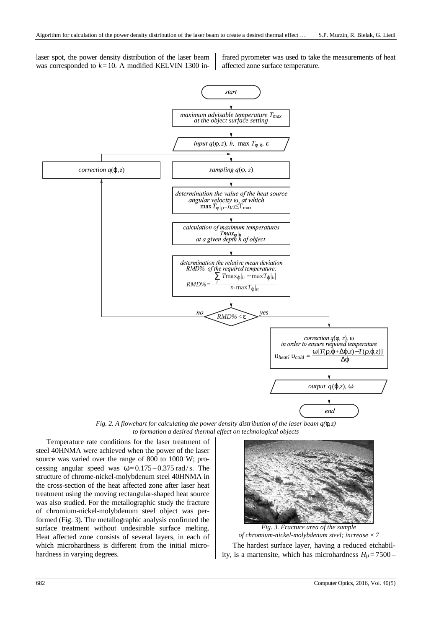laser spot, the power density distribution of the laser beam was corresponded to  $k = 10$ . A modified KELVIN 1300 infrared pyrometer was used to take the measurements of heat affected zone surface temperature.



*Fig. 2. A flowchart for calculating the power density distribution of the laser beam q(*φ*,z) to formation a desired thermal effect on technological objects* 

Temperature rate conditions for the laser treatment of steel 40HNMA were achieved when the power of the laser source was varied over the range of 800 to 1000 W; processing angular speed was  $\omega = 0.175 - 0.375$  rad/s. The structure of chrome-nickel-molybdenum steel 40HNMA in the cross-section of the heat affected zone after laser heat treatment using the moving rectangular-shaped heat source was also studied. For the metallographic study the fracture of chromium-nickel-molybdenum steel object was performed (Fig. 3). The metallographic analysis confirmed the surface treatment without undesirable surface melting. Heat affected zone consists of several layers, in each of which microhardness is different from the initial microhardness in varying degrees.



The hardest surface layer, having a reduced etchability, is a martensite, which has microhardness  $H_{\mu} = 7500 -$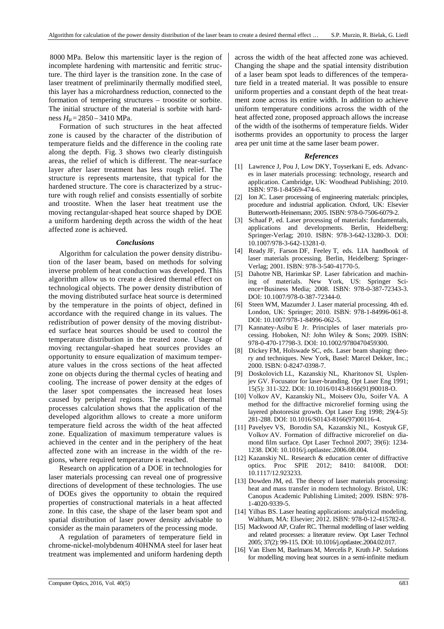8000 MPa. Below this martensitic layer is the region of incomplete hardening with martensitic and ferritic structure. The third layer is the transition zone. In the case of laser treatment of preliminarily thermally modified steel, this layer has a microhardness reduction, connected to the formation of tempering structures – troostite or sorbite. The initial structure of the material is sorbite with hardness *H*<sup>µ</sup> = 2850 – 3410 MPa.

Formation of such structures in the heat affected zone is caused by the character of the distribution of temperature fields and the difference in the cooling rate along the depth. Fig. 3 shows two clearly distinguish areas, the relief of which is different. The near-surface layer after laser treatment has less rough relief. The structure is represents martensite, that typical for the hardened structure. The core is characterized by a structure with rough relief and consists essentially of sorbite and troostite. When the laser heat treatment use the moving rectangular-shaped heat source shaped by DOE a uniform hardening depth across the width of the heat affected zone is achieved.

## *Conclusions*

Algorithm for calculation the power density distribution of the laser beam, based on methods for solving inverse problem of heat conduction was developed. This algorithm allow us to create a desired thermal effect on technological objects. The power density distribution of the moving distributed surface heat source is determined by the temperature in the points of object, defined in accordance with the required change in its values. The redistribution of power density of the moving distributed surface heat sources should be used to control the temperature distribution in the treated zone. Usage of moving rectangular-shaped heat sources provides an opportunity to ensure equalization of maximum temperature values in the cross sections of the heat affected zone on objects during the thermal cycles of heating and cooling. The increase of power density at the edges of the laser spot compensates the increased heat loses caused by peripheral regions. The results of thermal processes calculation shows that the application of the developed algorithm allows to create a more uniform temperature field across the width of the heat affected zone. Equalization of maximum temperature values is achieved in the center and in the periphery of the heat affected zone with an increase in the width of the regions, where required temperature is reached.

Research on application of a DOE in technologies for laser materials processing can reveal one of progressive directions of development of these technologies. The use of DOEs gives the opportunity to obtain the required properties of constructional materials in a heat affected zone. In this case, the shape of the laser beam spot and spatial distribution of laser power density advisable to consider as the main parameters of the processing mode.

A regulation of parameters of temperature field in chrome-nickel-molybdenum 40HNMA steel for laser heat treatment was implemented and uniform hardening depth across the width of the heat affected zone was achieved. Changing the shape and the spatial intensity distribution of a laser beam spot leads to differences of the temperature field in a treated material. It was possible to ensure uniform properties and a constant depth of the heat treatment zone across its entire width. In addition to achieve uniform temperature conditions across the width of the heat affected zone, proposed approach allows the increase of the width of the isotherms of temperature fields. Wider isotherms provides an opportunity to process the larger area per unit time at the same laser beam power.

## *References*

- [1] Lawrence J, Pou J, Low DKY, Toyserkani E, eds. Advances in laser materials processing: technology, research and application. Cambridge, UK: Woodhead Publishing; 2010. ISBN: 978-1-84569-474-6.
- [2] Ion JC. Laser processing of engineering materials: principles, procedure and industrial application. Oxford, UK: Elsevier Butterworth-Heinemann; 2005. ISBN: 978-0-7506-6079-2.
- [3] Schaaf P, ed. Laser processing of materials: fundamentals, applications and developments. Berlin, Heidelberg: Springer-Verlag; 2010. ISBN: 978-3-642-13280-3. DOI: 10.1007/978-3-642-13281-0.
- [4] Ready JF, Farson DF, Feeley T, eds. LIA handbook of laser materials processing. Berlin, Heidelberg: Springer-Verlag; 2001. ISBN: 978-3-540-41770-5.
- [5] Dahotre NB, Harimkar SP. Laser fabrication and machining of materials. New York, US: Springer Science+Business Media; 2008. ISBN: 978-0-387-72343-3. DOI: 10.1007/978-0-387-72344-0.
- [6] Steen WM, Mazumder J. Laser material processing. 4th ed. London, UK: Springer; 2010. ISBN: 978-1-84996-061-8. DOI: 10.1007/978-1-84996-062-5.
- [7] Kannatey-Asibu E Jr. Principles of laser materials processing. Hoboken, NJ: John Wiley & Sons; 2009. ISBN: 978-0-470-17798-3. DOI: 10.1002/9780470459300.
- [8] Dickey FM, Holswade SC, eds. Laser beam shaping: theory and techniques. New York, Basel: Marcel Dekker, Inc.; 2000. ISBN: 0-8247-0398-7.
- [9] Doskolovich LL, Kazanskiy NL, Kharitonov SI, Usplenjev GV. Focusator for laser-branding. Opt Laser Eng 1991; 15(5): 311-322. DOI: 10.1016/0143-8166(91)90018-O.
- [10] Volkov AV, Kazanskiy NL, Moiseev OJu, Soifer VA. A method for the diffractive microrelief forming using the layered photoresist growth. Opt Laser Eng 1998; 29(4-5): 281-288. DOI: 10.1016/S0143-8166(97)00116-4.
- [11] Pavelyev VS, Borodin SA, Kazanskiy NL, Kostyuk GF, Volkov AV. Formation of diffractive microrelief on diamond film surface. Opt Laser Technol 2007; 39(6): 1234- 1238. DOI: 10.1016/j.optlastec.2006.08.004.
- [12] Kazanskiy NL. Research & education center of diffractive optics. Proc SPIE 2012; 8410: 84100R. DOI: 10.1117/12.923233.
- [13] Dowden JM, ed. The theory of laser materials processing: heat and mass transfer in modern technology. Bristol, UK: Canopus Academic Publishing Limited; 2009. ISBN: 978- 1-4020-9339-5.
- [14] Yilbas BS. Laser heating applications: analytical modeling. Waltham, MA: Elsevier; 2012. ISBN: 978-0-12-415782-8.
- [15] Mackwood AP, Crafer RC. Thermal modelling of laser welding and related processes: a literature review. Opt Laser Technol 2005; 37(2): 99-115. DOI: 10.1016/j.optlastec.2004.02.017.
- [16] Van Elsen M, Baelmans M, Mercelis P, Kruth J-P. Solutions for modelling moving heat sources in a semi-infinite medium